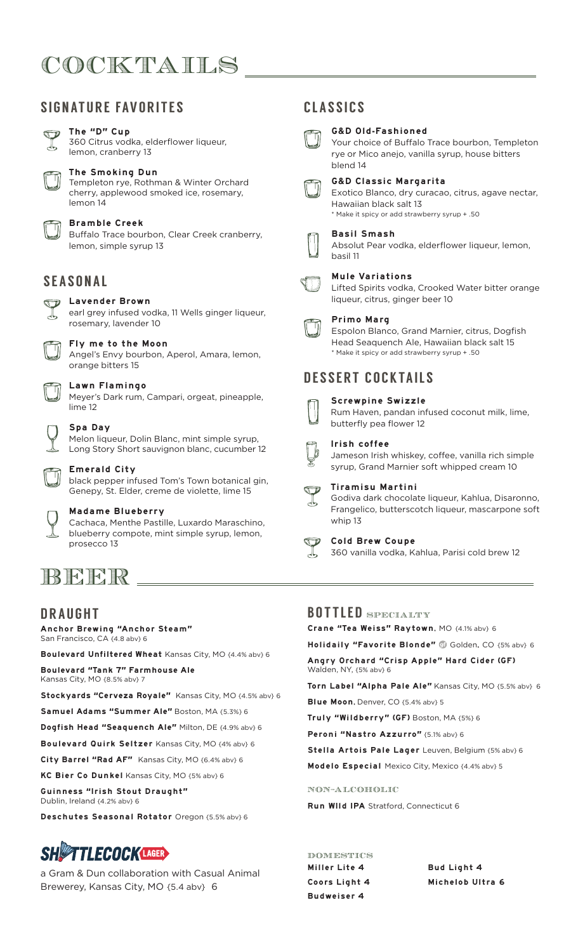# COCKTAILS

# SIGNATURE FAVORITES

### The "D" Cup

360 Citrus vodka, elderflower liqueur, lemon, cranberry 13

#### The Smoking Dun

Templeton rye, Rothman & Winter Orchard cherry, applewood smoked ice, rosemary, lemon 14

#### Bramble Creek

Buffalo Trace bourbon, Clear Creek cranberry, lemon, simple syrup 13

# SEASONAL

## **D** Lavender Brown

earl grey infused vodka, 11 Wells ginger liqueur, rosemary, lavender 10

#### Fly me to the Moon

Angel's Envy bourbon, Aperol, Amara, lemon, orange bitters 15

#### Lawn Flamingo

Meyer's Dark rum, Campari, orgeat, pineapple, lime 12

#### Spa Day

Melon liqueur, Dolin Blanc, mint simple syrup, Long Story Short sauvignon blanc, cucumber 12

#### Emerald City

black pepper infused Tom's Town botanical gin, Genepy, St. Elder, creme de violette, lime 15

### Madame Blueberry

Cachaca, Menthe Pastille, Luxardo Maraschino, blueberry compote, mint simple syrup, lemon, prosecco 13

# **BEER**

## DRAUGHT

Anchor Brewing "Anchor Steam" San Francisco, CA {4.8 abv} 6

Boulevard Unfiltered Wheat Kansas City, MO {4.4% abv} 6 Boulevard "Tank 7" Farmhouse Ale Kansas City, MO {8.5% abv} 7

Stockyards "Cerveza Royale" Kansas City, MO {4.5% abv} 6

Samuel Adams "Summer Ale" Boston, MA {5.3%} 6

Dogfish Head "Seaquench Ale" Milton, DE {4.9% abv} 6

Boulevard Quirk Seltzer Kansas City, MO {4% abv} 6

City Barrel "Rad AF" Kansas City, MO {6.4% abv} 6

KC Bier Co Dunkel Kansas City, MO {5% abv} 6

Guinness "Irish Stout Draught" Dublin, Ireland {4.2% abv} 6

Deschutes Seasonal Rotator Oregon {5.5% abv} 6

# **SHIFTLECOCKLAGER**

a Gram & Dun collaboration with Casual Animal Brewerey, Kansas City, MO {5.4 abv} 6

# CLASSICS



G&D Old-Fashioned



#### G&D Classic Margarita Exotico Blanco, dry curacao, citrus, agave nectar, Hawaiian black salt 13 \* Make it spicy or add strawberry syrup + .50

Basil Smash

Absolut Pear vodka, elderflower liqueur, lemon, basil 11

#### Mule Variations

Lifted Spirits vodka, Crooked Water bitter orange liqueur, citrus, ginger beer 10

#### Primo Marg

Espolon Blanco, Grand Marnier, citrus, Dogfish Head Seaquench Ale, Hawaiian black salt 15 \* Make it spicy or add strawberry syrup + .50

# DESSERT COCKTAILS



### Screwpine Swizzle

Rum Haven, pandan infused coconut milk, lime, butterfly pea flower 12

#### Irish coffee

Jameson Irish whiskey, coffee, vanilla rich simple syrup, Grand Marnier soft whipped cream 10



Godiva dark chocolate liqueur, Kahlua, Disaronno, Frangelico, butterscotch liqueur, mascarpone soft

#### Cold Brew Coupe

360 vanilla vodka, Kahlua, Parisi cold brew 12

# BOTTLED SPECIALTY

Crane "Tea Weiss" Raytown, MO {4.1% abv} 6

Holidaily "Favorite Blonde" @ Golden, CO {5% abv} 6

Angry Orchard "Crisp Apple" Hard Cider (GF) Walden, NY, {5% abv} 6

Torn Label "Alpha Pale Ale" Kansas City, MO {5.5% abv} 6

Blue Moon, Denver, CO {5.4% abv} 5

Truly "Wildberry" (GF) Boston, MA {5%} 6

Peroni "Nastro Azzurro" {5.1% abv} 6

Stella Artois Pale Lager Leuven, Belgium {5% abv} 6

Modelo Especial Mexico City, Mexico {4.4% abv} 5

#### NON-ALCOHOLIC

Run WIld IPA Stratford, Connecticut 6

Miller Lite 4 Coors Light 4 Budweiser 4 DOMESTICS

Bud Light 4 Michelob Ultra 6









# whip 13



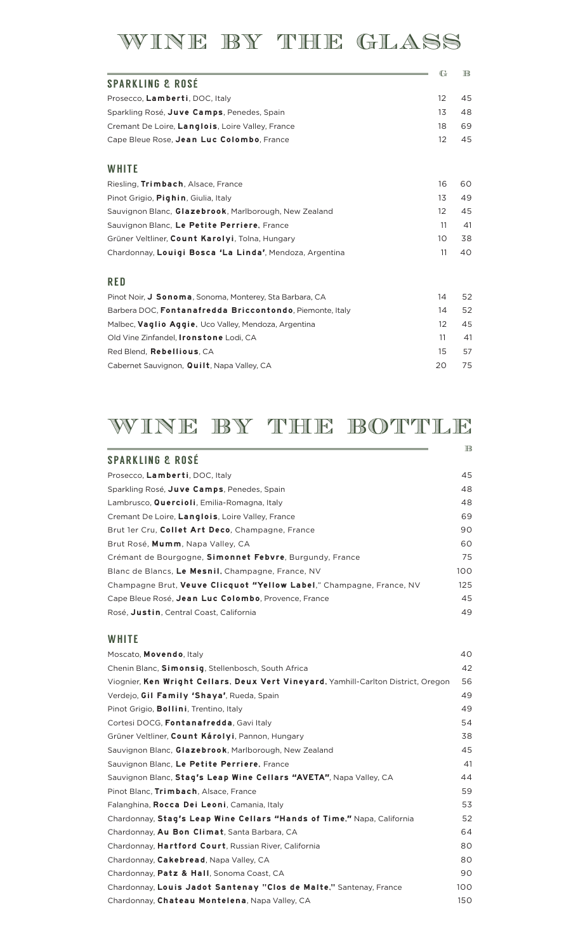# WINE BY THE GLASS

|                                                          | $\mathbb{G}$ | $_{\mathbb{B}}$ |
|----------------------------------------------------------|--------------|-----------------|
| <b>SPARKLING &amp; ROSÉ</b>                              |              |                 |
| Prosecco, Lamberti, DOC, Italy                           | 12           | 45              |
| Sparkling Rosé, Juve Camps, Penedes, Spain               | 13           | 48              |
| Cremant De Loire, Langlois, Loire Valley, France         | 18           | 69              |
| Cape Bleue Rose, Jean Luc Colombo, France                | 12           | 45              |
| WHITE                                                    |              |                 |
| Riesling, Trimbach, Alsace, France                       | 16           | 60              |
| Pinot Grigio, Pighin, Giulia, Italy                      | 13           | 49              |
| Sauvignon Blanc, Glazebrook, Marlborough, New Zealand    | 12           | 45              |
| Sauvignon Blanc, Le Petite Perriere, France              | 11           | 41              |
| Grüner Veltliner, Count Karolyi, Tolna, Hungary          | 10           | 38              |
| Chardonnay, Louigi Bosca 'La Linda', Mendoza, Argentina  | 11           | 40              |
| <b>RED</b>                                               |              |                 |
| Pinot Noir, J Sonoma, Sonoma, Monterey, Sta Barbara, CA  | 14           | 52              |
| Barbera DOC, Fontanafredda Briccontondo, Piemonte, Italy | 14           | 52              |
| Malbec, Vaglio Aggie, Uco Valley, Mendoza, Argentina     | 12           | 45              |
| Old Vine Zinfandel, <b>Ironstone</b> Lodi, CA            | 11           | 41              |
| Red Blend, Rebellious, CA                                | 15           | 57              |
| Cabernet Sauvignon, Quilt, Napa Valley, CA               | 20           | 75              |

# WINE BY THE BOTTLE

|                                                                      | $\mathbb{B}$ |
|----------------------------------------------------------------------|--------------|
| <b>SPARKLING &amp; ROSÉ</b>                                          |              |
| Prosecco, Lamberti, DOC, Italy                                       | 45           |
| Sparkling Rosé, Juve Camps, Penedes, Spain                           | 48           |
| Lambrusco, Quercioli, Emilia-Romagna, Italy                          | 48           |
| Cremant De Loire, Langlois, Loire Valley, France                     | 69           |
| Brut 1er Cru, Collet Art Deco, Champagne, France                     | 90           |
| Brut Rosé, Mumm, Napa Valley, CA                                     | 60           |
| Crémant de Bourgogne, Simonnet Febvre, Burgundy, France              | 75           |
| Blanc de Blancs, Le Mesnil, Champagne, France, NV                    | 100          |
| Champagne Brut, Veuve Clicquot "Yellow Label," Champagne, France, NV | 125          |
| Cape Bleue Rosé, Jean Luc Colombo, Provence, France                  | 45           |
| Rosé, Justin, Central Coast, California                              | 49           |

## **WHITE**

| Moscato, <b>Movendo</b> , Italy                                                    | 40  |
|------------------------------------------------------------------------------------|-----|
| Chenin Blanc, Simonsig, Stellenbosch, South Africa                                 | 42  |
| Viognier, Ken Wright Cellars, Deux Vert Vineyard, Yamhill-Carlton District, Oregon | 56  |
| Verdejo, Gil Family 'Shaya', Rueda, Spain                                          | 49  |
| Pinot Grigio, <b>Bollini</b> , Trentino, Italy                                     | 49  |
| Cortesi DOCG, Fontanafredda, Gaviltaly                                             | 54  |
| Grüner Veltliner, Count Károlyi, Pannon, Hungary                                   | 38  |
| Sauvignon Blanc, Glazebrook, Marlborough, New Zealand                              | 45  |
| Sauvignon Blanc, Le Petite Perriere, France                                        | 41  |
| Sauvignon Blanc, Stag's Leap Wine Cellars "AVETA", Napa Valley, CA                 | 44  |
| Pinot Blanc, Trimbach, Alsace, France                                              | 59  |
| Falanghina, Rocca Dei Leoni, Camania, Italy                                        | 53  |
| Chardonnay, Stag's Leap Wine Cellars "Hands of Time," Napa, California             | 52  |
| Chardonnay, Au Bon Climat, Santa Barbara, CA                                       | 64  |
| Chardonnay, Hartford Court, Russian River, California                              | 80  |
| Chardonnay, Cakebread, Napa Valley, CA                                             | 80  |
| Chardonnay, Patz & Hall, Sonoma Coast, CA                                          | 90  |
| Chardonnay, Louis Jadot Santenay "Clos de Malte," Santenay, France                 | 100 |
| Chardonnay, Chateau Montelena, Napa Valley, CA                                     | 150 |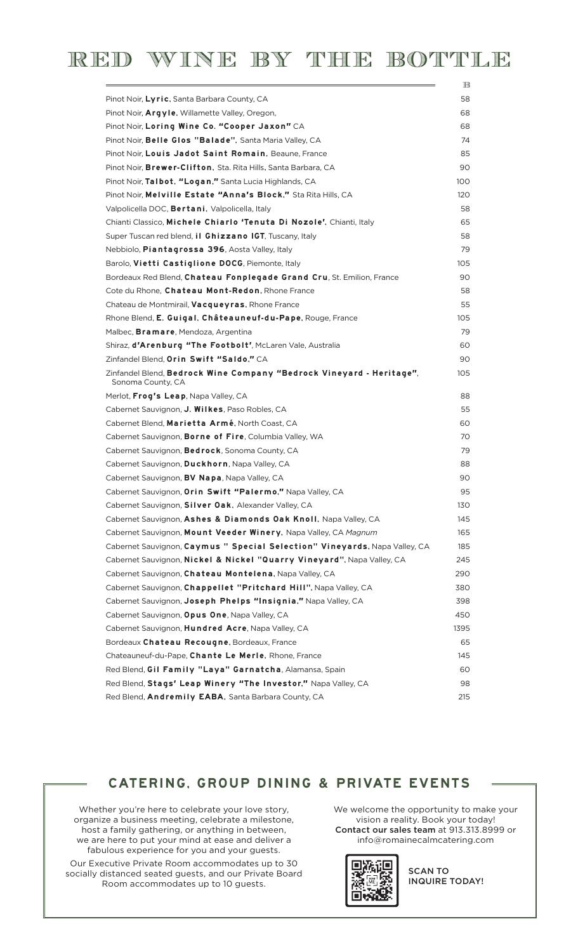| Pinot Noir, Lyric, Santa Barbara County, CA                                               |
|-------------------------------------------------------------------------------------------|
| Pinot Noir, Argyle, Willamette Valley, Oregon,                                            |
| Pinot Noir, Loring Wine Co. "Cooper Jaxon" CA                                             |
| Pinot Noir, Belle Glos "Balade", Santa Maria Valley, CA                                   |
| Pinot Noir, Louis Jadot Saint Romain, Beaune, France                                      |
| Pinot Noir, Brewer-Clifton, Sta. Rita Hills, Santa Barbara, CA                            |
| Pinot Noir, Talbot, "Logan," Santa Lucia Highlands, CA                                    |
| Pinot Noir, Melville Estate "Anna's Block," Sta Rita Hills, CA                            |
| Valpolicella DOC, <b>Bertani</b> , Valpolicella, Italy                                    |
| Chianti Classico, Michele Chiarlo 'Tenuta Di Nozole', Chianti, Italy                      |
| Super Tuscan red blend, <b>il Ghizzano IGT</b> , Tuscany, Italy                           |
| Nebbiolo, Piantagrossa 396, Aosta Valley, Italy                                           |
| Barolo, Vietti Castiglione DOCG, Piemonte, Italy                                          |
| Bordeaux Red Blend, Chateau Fonplegade Grand Cru, St. Emilion, France                     |
| Cote du Rhone, Chateau Mont-Redon, Rhone France                                           |
| Chateau de Montmirail, <b>Vacqueyras</b> , Rhone France                                   |
| Rhone Blend, E. Guigal, Châteauneuf-du-Pape, Rouge, France                                |
| Malbec, <b>Bramare</b> , Mendoza, Argentina                                               |
| Shiraz, d'Arenburg "The Footbolt', McLaren Vale, Australia                                |
| Zinfandel Blend, Orin Swift "Saldo," CA                                                   |
| Zinfandel Blend, Bedrock Wine Company "Bedrock Vineyard - Heritage",<br>Sonoma County, CA |
| Merlot, Frog's Leap, Napa Valley, CA                                                      |
| Cabernet Sauvignon, <b>J. Wilkes</b> , Paso Robles, CA                                    |
| Cabernet Blend, Marietta Armé, North Coast, CA                                            |
| Cabernet Sauvignon, Borne of Fire, Columbia Valley, WA                                    |
| Cabernet Sauvignon, <b>Bedrock</b> , Sonoma County, CA                                    |
| Cabernet Sauvignon, <b>Duckhorn</b> , Napa Valley, CA                                     |
| Cabernet Sauvignon, <b>BV Napa</b> , Napa Valley, CA                                      |
| Cabernet Sauvignon, Orin Swift "Palermo," Napa Valley, CA                                 |
| Cabernet Sauvignon, Silver Oak, Alexander Valley, CA                                      |
| Cabernet Sauvignon, Ashes & Diamonds Oak Knoll, Napa Valley, CA                           |
| Cabernet Sauvignon, Mount Veeder Winery, Napa Valley, CA Magnum                           |
| Cabernet Sauvignon, Caymus " Special Selection" Vineyards, Napa Valley, CA                |
| Cabernet Sauvignon, Nickel & Nickel "Quarry Vineyard", Napa Valley, CA                    |
| Cabernet Sauvignon, Chateau Montelena, Napa Valley, CA                                    |
| Cabernet Sauvignon, Chappellet "Pritchard Hill", Napa Valley, CA                          |
| Cabernet Sauvignon, Joseph Phelps "Insignia," Napa Valley, CA                             |
| Cabernet Sauvignon, Opus One, Napa Valley, CA                                             |
| Cabernet Sauvignon, Hundred Acre, Napa Valley, CA                                         |
| Bordeaux Chateau Recougne, Bordeaux, France                                               |
| Chateauneuf-du-Pape, Chante Le Merle, Rhone, France                                       |
| Red Blend, Gil Family "Laya" Garnatcha, Alamansa, Spain                                   |
| Red Blend, Stags' Leap Winery "The Investor," Napa Valley, CA                             |
| Red Blend, Andremily EABA, Santa Barbara County, CA                                       |

## CATERING, GROUP DINING & PRIVATE EVENTS

Whether you're here to celebrate your love story, organize a business meeting, celebrate a milestone, host a family gathering, or anything in between, we are here to put your mind at ease and deliver a fabulous experience for you and your guests. Our Executive Private Room accommodates up to 30 socially distanced seated guests, and our Private Board Room accommodates up to 10 guests.

We welcome the opportunity to make your vision a reality. Book your today! Contact our sales team at 913.313.8999 or info@romainecalmcatering.com



SCAN TO INQUIRE TODAY!